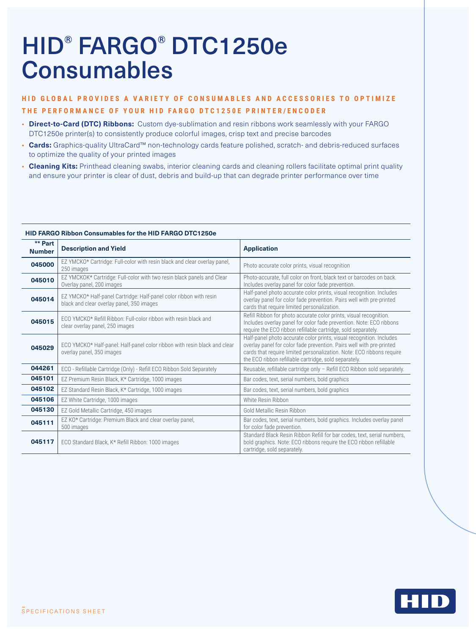# HID® FARGO® DTC1250e **Consumables**

## **HID GLOBAL PROVIDES A VARIETY OF CONSUMABLES AND ACCESSORIES TO OPTIMIZE THE PERFORMANCE OF YOUR HID FARGO DTC1250E PRINTER/ENCODER**

- **Direct-to-Card (DTC) Ribbons:** Custom dye-sublimation and resin ribbons work seamlessly with your FARGO DTC1250e printer(s) to consistently produce colorful images, crisp text and precise barcodes
- **Cards:** Graphics-quality UltraCard™ non-technology cards feature polished, scratch- and debris-reduced surfaces to optimize the quality of your printed images
- **Cleaning Kits:** Printhead cleaning swabs, interior cleaning cards and cleaning rollers facilitate optimal print quality and ensure your printer is clear of dust, debris and build-up that can degrade printer performance over time

| ** Part<br><b>Number</b> | <b>Description and Yield</b>                                                                                    | <b>Application</b>                                                                                                                                                                                                                                                             |
|--------------------------|-----------------------------------------------------------------------------------------------------------------|--------------------------------------------------------------------------------------------------------------------------------------------------------------------------------------------------------------------------------------------------------------------------------|
| 045000                   | EZ YMCKO* Cartridge: Full-color with resin black and clear overlay panel,<br>250 images                         | Photo accurate color prints, visual recognition                                                                                                                                                                                                                                |
| 045010                   | EZ YMCKOK* Cartridge: Full-color with two resin black panels and Clear<br>Overlay panel, 200 images             | Photo-accurate, full color on front, black text or barcodes on back.<br>Includes overlay panel for color fade prevention.                                                                                                                                                      |
| 045014                   | EZ YMCKO* Half-panel Cartridge: Half-panel color ribbon with resin<br>black and clear overlay panel, 350 images | Half-panel photo accurate color prints, visual recognition. Includes<br>overlay panel for color fade prevention. Pairs well with pre-printed<br>cards that require limited personalization.                                                                                    |
| 045015                   | ECO YMCKO* Refill Ribbon: Full-color ribbon with resin black and<br>clear overlay panel, 250 images             | Refill Ribbon for photo accurate color prints, visual recognition.<br>Includes overlay panel for color fade prevention. Note: ECO ribbons<br>require the ECO ribbon refillable cartridge, sold separately.                                                                     |
| 045029                   | ECO YMCKO* Half-panel: Half-panel color ribbon with resin black and clear<br>overlay panel, 350 images          | Half-panel photo accurate color prints, visual recognition. Includes<br>overlay panel for color fade prevention. Pairs well with pre-printed<br>cards that require limited personalization. Note: ECO ribbons require<br>the ECO ribbon refillable cartridge, sold separately. |
| 044261                   | ECO - Refillable Cartridge (Only) - Refill ECO Ribbon Sold Separately                                           | Reusable, refillable cartridge only - Refill ECO Ribbon sold separately.                                                                                                                                                                                                       |
| 045101                   | EZ Premium Resin Black, K* Cartridge, 1000 images                                                               | Bar codes, text, serial numbers, bold graphics                                                                                                                                                                                                                                 |
| 045102                   | EZ Standard Resin Black, K* Cartridge, 1000 images                                                              | Bar codes, text, serial numbers, bold graphics                                                                                                                                                                                                                                 |
| 045106                   | EZ White Cartridge, 1000 images                                                                                 | White Resin Ribbon                                                                                                                                                                                                                                                             |
| 045130                   | EZ Gold Metallic Cartridge, 450 images                                                                          | Gold Metallic Resin Ribbon                                                                                                                                                                                                                                                     |
| 045111                   | EZ KO* Cartridge: Premium Black and clear overlay panel,<br>500 images                                          | Bar codes, text, serial numbers, bold graphics. Includes overlay panel<br>for color fade prevention.                                                                                                                                                                           |
| 045117                   | ECO Standard Black, K* Refill Ribbon: 1000 images                                                               | Standard Black Resin Ribbon Refill for bar codes, text, serial numbers,<br>bold graphics. Note: ECO ribbons require the ECO ribbon refillable<br>cartridge, sold separately.                                                                                                   |

### **HID FARGO Ribbon Consumables for the HID FARGO DTC1250e**